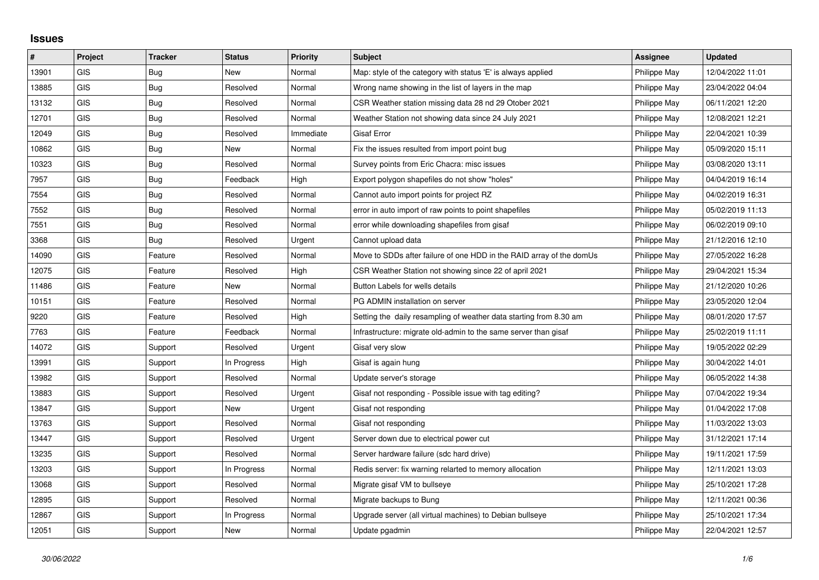## **Issues**

| #     | Project    | <b>Tracker</b> | <b>Status</b> | <b>Priority</b> | <b>Subject</b>                                                       | Assignee     | <b>Updated</b>   |
|-------|------------|----------------|---------------|-----------------|----------------------------------------------------------------------|--------------|------------------|
| 13901 | GIS        | Bug            | <b>New</b>    | Normal          | Map: style of the category with status 'E' is always applied         | Philippe May | 12/04/2022 11:01 |
| 13885 | GIS        | <b>Bug</b>     | Resolved      | Normal          | Wrong name showing in the list of layers in the map                  | Philippe May | 23/04/2022 04:04 |
| 13132 | <b>GIS</b> | Bug            | Resolved      | Normal          | CSR Weather station missing data 28 nd 29 Otober 2021                | Philippe May | 06/11/2021 12:20 |
| 12701 | <b>GIS</b> | Bug            | Resolved      | Normal          | Weather Station not showing data since 24 July 2021                  | Philippe May | 12/08/2021 12:21 |
| 12049 | GIS        | Bug            | Resolved      | Immediate       | <b>Gisaf Error</b>                                                   | Philippe May | 22/04/2021 10:39 |
| 10862 | <b>GIS</b> | Bug            | New           | Normal          | Fix the issues resulted from import point bug                        | Philippe May | 05/09/2020 15:11 |
| 10323 | <b>GIS</b> | Bug            | Resolved      | Normal          | Survey points from Eric Chacra: misc issues                          | Philippe May | 03/08/2020 13:11 |
| 7957  | <b>GIS</b> | Bug            | Feedback      | High            | Export polygon shapefiles do not show "holes"                        | Philippe May | 04/04/2019 16:14 |
| 7554  | <b>GIS</b> | Bug            | Resolved      | Normal          | Cannot auto import points for project RZ                             | Philippe May | 04/02/2019 16:31 |
| 7552  | GIS        | Bug            | Resolved      | Normal          | error in auto import of raw points to point shapefiles               | Philippe May | 05/02/2019 11:13 |
| 7551  | <b>GIS</b> | Bug            | Resolved      | Normal          | error while downloading shapefiles from gisaf                        | Philippe May | 06/02/2019 09:10 |
| 3368  | GIS        | Bug            | Resolved      | Urgent          | Cannot upload data                                                   | Philippe May | 21/12/2016 12:10 |
| 14090 | <b>GIS</b> | Feature        | Resolved      | Normal          | Move to SDDs after failure of one HDD in the RAID array of the domUs | Philippe May | 27/05/2022 16:28 |
| 12075 | <b>GIS</b> | Feature        | Resolved      | High            | CSR Weather Station not showing since 22 of april 2021               | Philippe May | 29/04/2021 15:34 |
| 11486 | <b>GIS</b> | Feature        | New           | Normal          | Button Labels for wells details                                      | Philippe May | 21/12/2020 10:26 |
| 10151 | GIS        | Feature        | Resolved      | Normal          | PG ADMIN installation on server                                      | Philippe May | 23/05/2020 12:04 |
| 9220  | <b>GIS</b> | Feature        | Resolved      | High            | Setting the daily resampling of weather data starting from 8.30 am   | Philippe May | 08/01/2020 17:57 |
| 7763  | <b>GIS</b> | Feature        | Feedback      | Normal          | Infrastructure: migrate old-admin to the same server than gisaf      | Philippe May | 25/02/2019 11:11 |
| 14072 | <b>GIS</b> | Support        | Resolved      | Urgent          | Gisaf very slow                                                      | Philippe May | 19/05/2022 02:29 |
| 13991 | GIS        | Support        | In Progress   | High            | Gisaf is again hung                                                  | Philippe May | 30/04/2022 14:01 |
| 13982 | <b>GIS</b> | Support        | Resolved      | Normal          | Update server's storage                                              | Philippe May | 06/05/2022 14:38 |
| 13883 | <b>GIS</b> | Support        | Resolved      | Urgent          | Gisaf not responding - Possible issue with tag editing?              | Philippe May | 07/04/2022 19:34 |
| 13847 | <b>GIS</b> | Support        | New           | Urgent          | Gisaf not responding                                                 | Philippe May | 01/04/2022 17:08 |
| 13763 | <b>GIS</b> | Support        | Resolved      | Normal          | Gisaf not responding                                                 | Philippe May | 11/03/2022 13:03 |
| 13447 | GIS        | Support        | Resolved      | Urgent          | Server down due to electrical power cut                              | Philippe May | 31/12/2021 17:14 |
| 13235 | <b>GIS</b> | Support        | Resolved      | Normal          | Server hardware failure (sdc hard drive)                             | Philippe May | 19/11/2021 17:59 |
| 13203 | <b>GIS</b> | Support        | In Progress   | Normal          | Redis server: fix warning relarted to memory allocation              | Philippe May | 12/11/2021 13:03 |
| 13068 | GIS        | Support        | Resolved      | Normal          | Migrate gisaf VM to bullseye                                         | Philippe May | 25/10/2021 17:28 |
| 12895 | <b>GIS</b> | Support        | Resolved      | Normal          | Migrate backups to Bung                                              | Philippe May | 12/11/2021 00:36 |
| 12867 | <b>GIS</b> | Support        | In Progress   | Normal          | Upgrade server (all virtual machines) to Debian bullseye             | Philippe May | 25/10/2021 17:34 |
| 12051 | GIS        | Support        | New           | Normal          | Update pgadmin                                                       | Philippe May | 22/04/2021 12:57 |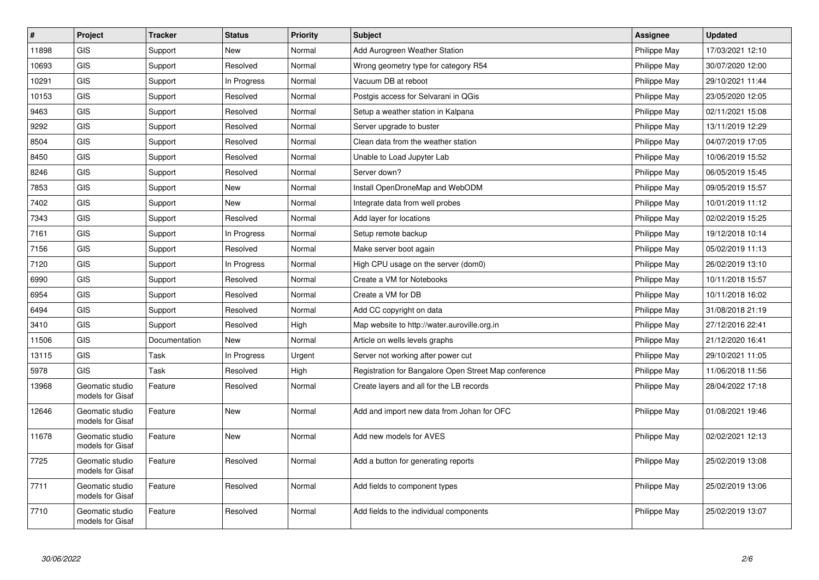| $\pmb{\#}$ | Project                             | <b>Tracker</b> | <b>Status</b> | Priority | <b>Subject</b>                                        | <b>Assignee</b> | <b>Updated</b>   |
|------------|-------------------------------------|----------------|---------------|----------|-------------------------------------------------------|-----------------|------------------|
| 11898      | <b>GIS</b>                          | Support        | <b>New</b>    | Normal   | Add Aurogreen Weather Station                         | Philippe May    | 17/03/2021 12:10 |
| 10693      | <b>GIS</b>                          | Support        | Resolved      | Normal   | Wrong geometry type for category R54                  | Philippe May    | 30/07/2020 12:00 |
| 10291      | GIS                                 | Support        | In Progress   | Normal   | Vacuum DB at reboot                                   | Philippe May    | 29/10/2021 11:44 |
| 10153      | <b>GIS</b>                          | Support        | Resolved      | Normal   | Postgis access for Selvarani in QGis                  | Philippe May    | 23/05/2020 12:05 |
| 9463       | GIS                                 | Support        | Resolved      | Normal   | Setup a weather station in Kalpana                    | Philippe May    | 02/11/2021 15:08 |
| 9292       | GIS                                 | Support        | Resolved      | Normal   | Server upgrade to buster                              | Philippe May    | 13/11/2019 12:29 |
| 8504       | <b>GIS</b>                          | Support        | Resolved      | Normal   | Clean data from the weather station                   | Philippe May    | 04/07/2019 17:05 |
| 8450       | GIS                                 | Support        | Resolved      | Normal   | Unable to Load Jupyter Lab                            | Philippe May    | 10/06/2019 15:52 |
| 8246       | <b>GIS</b>                          | Support        | Resolved      | Normal   | Server down?                                          | Philippe May    | 06/05/2019 15:45 |
| 7853       | GIS                                 | Support        | <b>New</b>    | Normal   | Install OpenDroneMap and WebODM                       | Philippe May    | 09/05/2019 15:57 |
| 7402       | GIS                                 | Support        | <b>New</b>    | Normal   | Integrate data from well probes                       | Philippe May    | 10/01/2019 11:12 |
| 7343       | GIS                                 | Support        | Resolved      | Normal   | Add layer for locations                               | Philippe May    | 02/02/2019 15:25 |
| 7161       | GIS                                 | Support        | In Progress   | Normal   | Setup remote backup                                   | Philippe May    | 19/12/2018 10:14 |
| 7156       | <b>GIS</b>                          | Support        | Resolved      | Normal   | Make server boot again                                | Philippe May    | 05/02/2019 11:13 |
| 7120       | GIS                                 | Support        | In Progress   | Normal   | High CPU usage on the server (dom0)                   | Philippe May    | 26/02/2019 13:10 |
| 6990       | GIS                                 | Support        | Resolved      | Normal   | Create a VM for Notebooks                             | Philippe May    | 10/11/2018 15:57 |
| 6954       | GIS                                 | Support        | Resolved      | Normal   | Create a VM for DB                                    | Philippe May    | 10/11/2018 16:02 |
| 6494       | GIS                                 | Support        | Resolved      | Normal   | Add CC copyright on data                              | Philippe May    | 31/08/2018 21:19 |
| 3410       | GIS                                 | Support        | Resolved      | High     | Map website to http://water.auroville.org.in          | Philippe May    | 27/12/2016 22:41 |
| 11506      | <b>GIS</b>                          | Documentation  | <b>New</b>    | Normal   | Article on wells levels graphs                        | Philippe May    | 21/12/2020 16:41 |
| 13115      | <b>GIS</b>                          | Task           | In Progress   | Urgent   | Server not working after power cut                    | Philippe May    | 29/10/2021 11:05 |
| 5978       | <b>GIS</b>                          | Task           | Resolved      | High     | Registration for Bangalore Open Street Map conference | Philippe May    | 11/06/2018 11:56 |
| 13968      | Geomatic studio<br>models for Gisaf | Feature        | Resolved      | Normal   | Create layers and all for the LB records              | Philippe May    | 28/04/2022 17:18 |
| 12646      | Geomatic studio<br>models for Gisaf | Feature        | New           | Normal   | Add and import new data from Johan for OFC            | Philippe May    | 01/08/2021 19:46 |
| 11678      | Geomatic studio<br>models for Gisaf | Feature        | <b>New</b>    | Normal   | Add new models for AVES                               | Philippe May    | 02/02/2021 12:13 |
| 7725       | Geomatic studio<br>models for Gisaf | Feature        | Resolved      | Normal   | Add a button for generating reports                   | Philippe May    | 25/02/2019 13:08 |
| 7711       | Geomatic studio<br>models for Gisaf | Feature        | Resolved      | Normal   | Add fields to component types                         | Philippe May    | 25/02/2019 13:06 |
| 7710       | Geomatic studio<br>models for Gisaf | Feature        | Resolved      | Normal   | Add fields to the individual components               | Philippe May    | 25/02/2019 13:07 |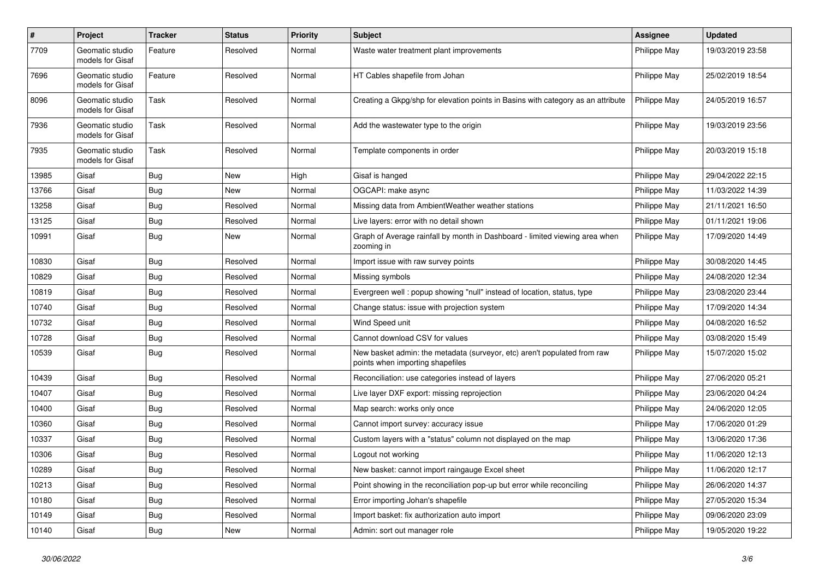| $\sharp$ | <b>Project</b>                      | <b>Tracker</b> | <b>Status</b> | <b>Priority</b> | <b>Subject</b>                                                                                               | <b>Assignee</b> | <b>Updated</b>   |
|----------|-------------------------------------|----------------|---------------|-----------------|--------------------------------------------------------------------------------------------------------------|-----------------|------------------|
| 7709     | Geomatic studio<br>models for Gisaf | Feature        | Resolved      | Normal          | Waste water treatment plant improvements                                                                     | Philippe May    | 19/03/2019 23:58 |
| 7696     | Geomatic studio<br>models for Gisaf | Feature        | Resolved      | Normal          | HT Cables shapefile from Johan                                                                               | Philippe May    | 25/02/2019 18:54 |
| 8096     | Geomatic studio<br>models for Gisaf | Task           | Resolved      | Normal          | Creating a Gkpg/shp for elevation points in Basins with category as an attribute                             | Philippe May    | 24/05/2019 16:57 |
| 7936     | Geomatic studio<br>models for Gisaf | Task           | Resolved      | Normal          | Add the wastewater type to the origin                                                                        | Philippe May    | 19/03/2019 23:56 |
| 7935     | Geomatic studio<br>models for Gisaf | Task           | Resolved      | Normal          | Template components in order                                                                                 | Philippe May    | 20/03/2019 15:18 |
| 13985    | Gisaf                               | Bug            | New           | High            | Gisaf is hanged                                                                                              | Philippe May    | 29/04/2022 22:15 |
| 13766    | Gisaf                               | Bug            | New           | Normal          | OGCAPI: make async                                                                                           | Philippe May    | 11/03/2022 14:39 |
| 13258    | Gisaf                               | <b>Bug</b>     | Resolved      | Normal          | Missing data from AmbientWeather weather stations                                                            | Philippe May    | 21/11/2021 16:50 |
| 13125    | Gisaf                               | Bug            | Resolved      | Normal          | Live layers: error with no detail shown                                                                      | Philippe May    | 01/11/2021 19:06 |
| 10991    | Gisaf                               | <b>Bug</b>     | New           | Normal          | Graph of Average rainfall by month in Dashboard - limited viewing area when<br>zooming in                    | Philippe May    | 17/09/2020 14:49 |
| 10830    | Gisaf                               | <b>Bug</b>     | Resolved      | Normal          | Import issue with raw survey points                                                                          | Philippe May    | 30/08/2020 14:45 |
| 10829    | Gisaf                               | Bug            | Resolved      | Normal          | Missing symbols                                                                                              | Philippe May    | 24/08/2020 12:34 |
| 10819    | Gisaf                               | <b>Bug</b>     | Resolved      | Normal          | Evergreen well: popup showing "null" instead of location, status, type                                       | Philippe May    | 23/08/2020 23:44 |
| 10740    | Gisaf                               | Bug            | Resolved      | Normal          | Change status: issue with projection system                                                                  | Philippe May    | 17/09/2020 14:34 |
| 10732    | Gisaf                               | Bug            | Resolved      | Normal          | Wind Speed unit                                                                                              | Philippe May    | 04/08/2020 16:52 |
| 10728    | Gisaf                               | <b>Bug</b>     | Resolved      | Normal          | Cannot download CSV for values                                                                               | Philippe May    | 03/08/2020 15:49 |
| 10539    | Gisaf                               | <b>Bug</b>     | Resolved      | Normal          | New basket admin: the metadata (surveyor, etc) aren't populated from raw<br>points when importing shapefiles | Philippe May    | 15/07/2020 15:02 |
| 10439    | Gisaf                               | <b>Bug</b>     | Resolved      | Normal          | Reconciliation: use categories instead of layers                                                             | Philippe May    | 27/06/2020 05:21 |
| 10407    | Gisaf                               | <b>Bug</b>     | Resolved      | Normal          | Live layer DXF export: missing reprojection                                                                  | Philippe May    | 23/06/2020 04:24 |
| 10400    | Gisaf                               | <b>Bug</b>     | Resolved      | Normal          | Map search: works only once                                                                                  | Philippe May    | 24/06/2020 12:05 |
| 10360    | Gisaf                               | Bug            | Resolved      | Normal          | Cannot import survey: accuracy issue                                                                         | Philippe May    | 17/06/2020 01:29 |
| 10337    | Gisaf                               | Bug            | Resolved      | Normal          | Custom layers with a "status" column not displayed on the map                                                | Philippe May    | 13/06/2020 17:36 |
| 10306    | Gisaf                               | <b>Bug</b>     | Resolved      | Normal          | Logout not working                                                                                           | Philippe May    | 11/06/2020 12:13 |
| 10289    | Gisaf                               | Bug            | Resolved      | Normal          | New basket: cannot import raingauge Excel sheet                                                              | Philippe May    | 11/06/2020 12:17 |
| 10213    | Gisaf                               | <b>Bug</b>     | Resolved      | Normal          | Point showing in the reconciliation pop-up but error while reconciling                                       | Philippe May    | 26/06/2020 14:37 |
| 10180    | Gisaf                               | Bug            | Resolved      | Normal          | Error importing Johan's shapefile                                                                            | Philippe May    | 27/05/2020 15:34 |
| 10149    | Gisaf                               | Bug            | Resolved      | Normal          | Import basket: fix authorization auto import                                                                 | Philippe May    | 09/06/2020 23:09 |
| 10140    | Gisaf                               | <b>Bug</b>     | New           | Normal          | Admin: sort out manager role                                                                                 | Philippe May    | 19/05/2020 19:22 |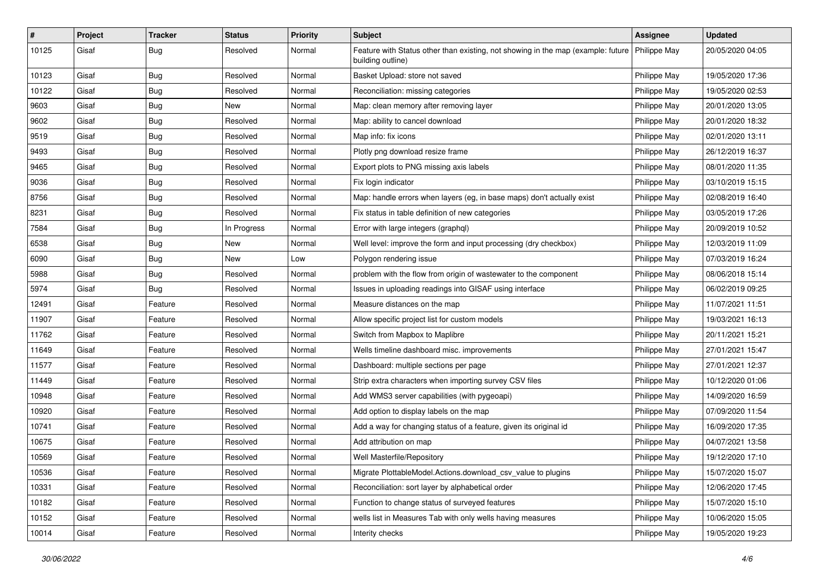| #     | Project | <b>Tracker</b> | <b>Status</b> | <b>Priority</b> | <b>Subject</b>                                                                                        | <b>Assignee</b> | <b>Updated</b>   |
|-------|---------|----------------|---------------|-----------------|-------------------------------------------------------------------------------------------------------|-----------------|------------------|
| 10125 | Gisaf   | <b>Bug</b>     | Resolved      | Normal          | Feature with Status other than existing, not showing in the map (example: future<br>building outline) | Philippe May    | 20/05/2020 04:05 |
| 10123 | Gisaf   | <b>Bug</b>     | Resolved      | Normal          | Basket Upload: store not saved                                                                        | Philippe May    | 19/05/2020 17:36 |
| 10122 | Gisaf   | <b>Bug</b>     | Resolved      | Normal          | Reconciliation: missing categories                                                                    | Philippe May    | 19/05/2020 02:53 |
| 9603  | Gisaf   | Bug            | New           | Normal          | Map: clean memory after removing layer                                                                | Philippe May    | 20/01/2020 13:05 |
| 9602  | Gisaf   | <b>Bug</b>     | Resolved      | Normal          | Map: ability to cancel download                                                                       | Philippe May    | 20/01/2020 18:32 |
| 9519  | Gisaf   | <b>Bug</b>     | Resolved      | Normal          | Map info: fix icons                                                                                   | Philippe May    | 02/01/2020 13:11 |
| 9493  | Gisaf   | Bug            | Resolved      | Normal          | Plotly png download resize frame                                                                      | Philippe May    | 26/12/2019 16:37 |
| 9465  | Gisaf   | <b>Bug</b>     | Resolved      | Normal          | Export plots to PNG missing axis labels                                                               | Philippe May    | 08/01/2020 11:35 |
| 9036  | Gisaf   | <b>Bug</b>     | Resolved      | Normal          | Fix login indicator                                                                                   | Philippe May    | 03/10/2019 15:15 |
| 8756  | Gisaf   | Bug            | Resolved      | Normal          | Map: handle errors when layers (eg, in base maps) don't actually exist                                | Philippe May    | 02/08/2019 16:40 |
| 8231  | Gisaf   | <b>Bug</b>     | Resolved      | Normal          | Fix status in table definition of new categories                                                      | Philippe May    | 03/05/2019 17:26 |
| 7584  | Gisaf   | <b>Bug</b>     | In Progress   | Normal          | Error with large integers (graphql)                                                                   | Philippe May    | 20/09/2019 10:52 |
| 6538  | Gisaf   | <b>Bug</b>     | New           | Normal          | Well level: improve the form and input processing (dry checkbox)                                      | Philippe May    | 12/03/2019 11:09 |
| 6090  | Gisaf   | <b>Bug</b>     | New           | Low             | Polygon rendering issue                                                                               | Philippe May    | 07/03/2019 16:24 |
| 5988  | Gisaf   | <b>Bug</b>     | Resolved      | Normal          | problem with the flow from origin of wastewater to the component                                      | Philippe May    | 08/06/2018 15:14 |
| 5974  | Gisaf   | <b>Bug</b>     | Resolved      | Normal          | Issues in uploading readings into GISAF using interface                                               | Philippe May    | 06/02/2019 09:25 |
| 12491 | Gisaf   | Feature        | Resolved      | Normal          | Measure distances on the map                                                                          | Philippe May    | 11/07/2021 11:51 |
| 11907 | Gisaf   | Feature        | Resolved      | Normal          | Allow specific project list for custom models                                                         | Philippe May    | 19/03/2021 16:13 |
| 11762 | Gisaf   | Feature        | Resolved      | Normal          | Switch from Mapbox to Maplibre                                                                        | Philippe May    | 20/11/2021 15:21 |
| 11649 | Gisaf   | Feature        | Resolved      | Normal          | Wells timeline dashboard misc. improvements                                                           | Philippe May    | 27/01/2021 15:47 |
| 11577 | Gisaf   | Feature        | Resolved      | Normal          | Dashboard: multiple sections per page                                                                 | Philippe May    | 27/01/2021 12:37 |
| 11449 | Gisaf   | Feature        | Resolved      | Normal          | Strip extra characters when importing survey CSV files                                                | Philippe May    | 10/12/2020 01:06 |
| 10948 | Gisaf   | Feature        | Resolved      | Normal          | Add WMS3 server capabilities (with pygeoapi)                                                          | Philippe May    | 14/09/2020 16:59 |
| 10920 | Gisaf   | Feature        | Resolved      | Normal          | Add option to display labels on the map                                                               | Philippe May    | 07/09/2020 11:54 |
| 10741 | Gisaf   | Feature        | Resolved      | Normal          | Add a way for changing status of a feature, given its original id                                     | Philippe May    | 16/09/2020 17:35 |
| 10675 | Gisaf   | Feature        | Resolved      | Normal          | Add attribution on map                                                                                | Philippe May    | 04/07/2021 13:58 |
| 10569 | Gisaf   | Feature        | Resolved      | Normal          | Well Masterfile/Repository                                                                            | Philippe May    | 19/12/2020 17:10 |
| 10536 | Gisaf   | Feature        | Resolved      | Normal          | Migrate PlottableModel.Actions.download csv value to plugins                                          | Philippe May    | 15/07/2020 15:07 |
| 10331 | Gisaf   | Feature        | Resolved      | Normal          | Reconciliation: sort layer by alphabetical order                                                      | Philippe May    | 12/06/2020 17:45 |
| 10182 | Gisaf   | Feature        | Resolved      | Normal          | Function to change status of surveyed features                                                        | Philippe May    | 15/07/2020 15:10 |
| 10152 | Gisaf   | Feature        | Resolved      | Normal          | wells list in Measures Tab with only wells having measures                                            | Philippe May    | 10/06/2020 15:05 |
| 10014 | Gisaf   | Feature        | Resolved      | Normal          | Interity checks                                                                                       | Philippe May    | 19/05/2020 19:23 |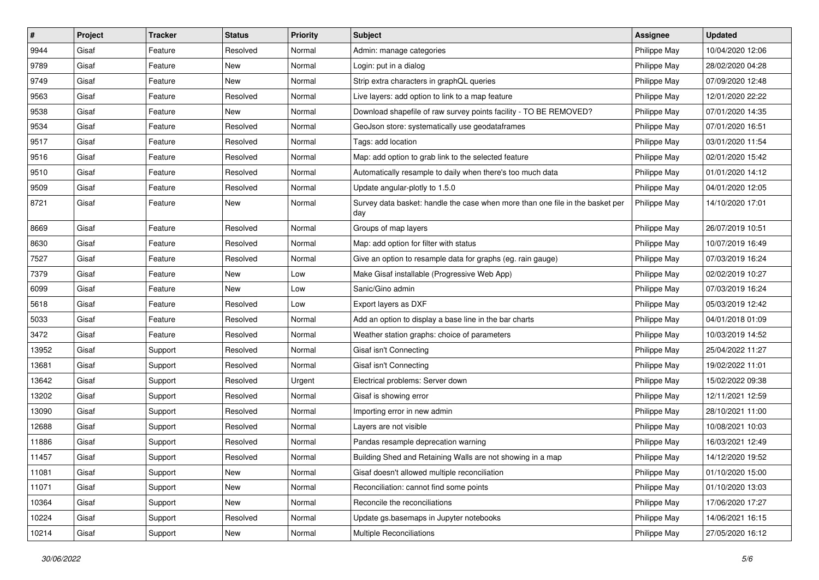| #     | Project | <b>Tracker</b> | <b>Status</b> | <b>Priority</b> | <b>Subject</b>                                                                       | <b>Assignee</b> | <b>Updated</b>   |
|-------|---------|----------------|---------------|-----------------|--------------------------------------------------------------------------------------|-----------------|------------------|
| 9944  | Gisaf   | Feature        | Resolved      | Normal          | Admin: manage categories                                                             | Philippe May    | 10/04/2020 12:06 |
| 9789  | Gisaf   | Feature        | <b>New</b>    | Normal          | Login: put in a dialog                                                               | Philippe May    | 28/02/2020 04:28 |
| 9749  | Gisaf   | Feature        | New           | Normal          | Strip extra characters in graphQL queries                                            | Philippe May    | 07/09/2020 12:48 |
| 9563  | Gisaf   | Feature        | Resolved      | Normal          | Live layers: add option to link to a map feature                                     | Philippe May    | 12/01/2020 22:22 |
| 9538  | Gisaf   | Feature        | <b>New</b>    | Normal          | Download shapefile of raw survey points facility - TO BE REMOVED?                    | Philippe May    | 07/01/2020 14:35 |
| 9534  | Gisaf   | Feature        | Resolved      | Normal          | GeoJson store: systematically use geodataframes                                      | Philippe May    | 07/01/2020 16:51 |
| 9517  | Gisaf   | Feature        | Resolved      | Normal          | Tags: add location                                                                   | Philippe May    | 03/01/2020 11:54 |
| 9516  | Gisaf   | Feature        | Resolved      | Normal          | Map: add option to grab link to the selected feature                                 | Philippe May    | 02/01/2020 15:42 |
| 9510  | Gisaf   | Feature        | Resolved      | Normal          | Automatically resample to daily when there's too much data                           | Philippe May    | 01/01/2020 14:12 |
| 9509  | Gisaf   | Feature        | Resolved      | Normal          | Update angular-plotly to 1.5.0                                                       | Philippe May    | 04/01/2020 12:05 |
| 8721  | Gisaf   | Feature        | New           | Normal          | Survey data basket: handle the case when more than one file in the basket per<br>day | Philippe May    | 14/10/2020 17:01 |
| 8669  | Gisaf   | Feature        | Resolved      | Normal          | Groups of map layers                                                                 | Philippe May    | 26/07/2019 10:51 |
| 8630  | Gisaf   | Feature        | Resolved      | Normal          | Map: add option for filter with status                                               | Philippe May    | 10/07/2019 16:49 |
| 7527  | Gisaf   | Feature        | Resolved      | Normal          | Give an option to resample data for graphs (eg. rain gauge)                          | Philippe May    | 07/03/2019 16:24 |
| 7379  | Gisaf   | Feature        | New           | Low             | Make Gisaf installable (Progressive Web App)                                         | Philippe May    | 02/02/2019 10:27 |
| 6099  | Gisaf   | Feature        | New           | Low             | Sanic/Gino admin                                                                     | Philippe May    | 07/03/2019 16:24 |
| 5618  | Gisaf   | Feature        | Resolved      | Low             | Export layers as DXF                                                                 | Philippe May    | 05/03/2019 12:42 |
| 5033  | Gisaf   | Feature        | Resolved      | Normal          | Add an option to display a base line in the bar charts                               | Philippe May    | 04/01/2018 01:09 |
| 3472  | Gisaf   | Feature        | Resolved      | Normal          | Weather station graphs: choice of parameters                                         | Philippe May    | 10/03/2019 14:52 |
| 13952 | Gisaf   | Support        | Resolved      | Normal          | Gisaf isn't Connecting                                                               | Philippe May    | 25/04/2022 11:27 |
| 13681 | Gisaf   | Support        | Resolved      | Normal          | Gisaf isn't Connecting                                                               | Philippe May    | 19/02/2022 11:01 |
| 13642 | Gisaf   | Support        | Resolved      | Urgent          | Electrical problems: Server down                                                     | Philippe May    | 15/02/2022 09:38 |
| 13202 | Gisaf   | Support        | Resolved      | Normal          | Gisaf is showing error                                                               | Philippe May    | 12/11/2021 12:59 |
| 13090 | Gisaf   | Support        | Resolved      | Normal          | Importing error in new admin                                                         | Philippe May    | 28/10/2021 11:00 |
| 12688 | Gisaf   | Support        | Resolved      | Normal          | Layers are not visible                                                               | Philippe May    | 10/08/2021 10:03 |
| 11886 | Gisaf   | Support        | Resolved      | Normal          | Pandas resample deprecation warning                                                  | Philippe May    | 16/03/2021 12:49 |
| 11457 | Gisaf   | Support        | Resolved      | Normal          | Building Shed and Retaining Walls are not showing in a map                           | Philippe May    | 14/12/2020 19:52 |
| 11081 | Gisaf   | Support        | New           | Normal          | Gisaf doesn't allowed multiple reconciliation                                        | Philippe May    | 01/10/2020 15:00 |
| 11071 | Gisaf   | Support        | New           | Normal          | Reconciliation: cannot find some points                                              | Philippe May    | 01/10/2020 13:03 |
| 10364 | Gisaf   | Support        | New           | Normal          | Reconcile the reconciliations                                                        | Philippe May    | 17/06/2020 17:27 |
| 10224 | Gisaf   | Support        | Resolved      | Normal          | Update gs.basemaps in Jupyter notebooks                                              | Philippe May    | 14/06/2021 16:15 |
| 10214 | Gisaf   | Support        | New           | Normal          | Multiple Reconciliations                                                             | Philippe May    | 27/05/2020 16:12 |